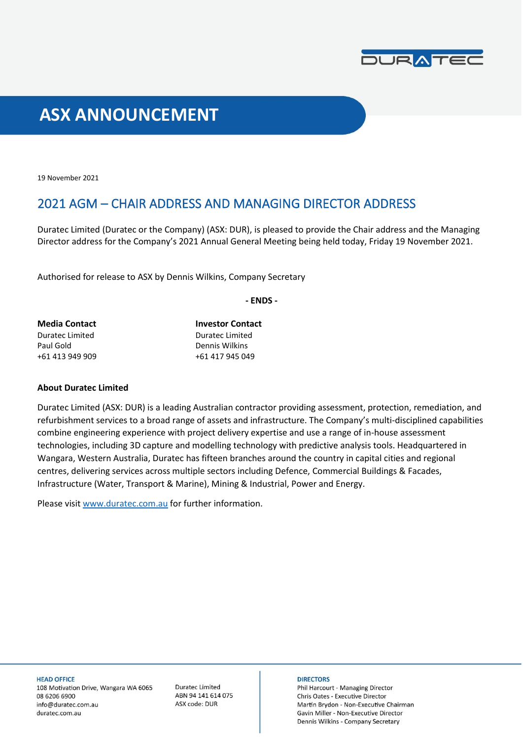

# **ASX ANNOUNCEMENT**

19 November 2021

## 2021 AGM – CHAIR ADDRESS AND MANAGING DIRECTOR ADDRESS

Duratec Limited (Duratec or the Company) (ASX: DUR), is pleased to provide the Chair address and the Managing Director address for the Company's 2021 Annual General Meeting being held today, Friday 19 November 2021.  

Authorised for release to ASX by Dennis Wilkins, Company Secretary

**- ENDS -**

| <b>Media Contact</b> | <b>Investor Contact</b> |
|----------------------|-------------------------|
| Duratec Limited      | Duratec Limited         |
| Paul Gold            | Dennis Wilkins          |
| +61 413 949 909      | +61 417 945 049         |

### **About Duratec Limited**

Duratec Limited (ASX: DUR) is a leading Australian contractor providing assessment, protection, remediation, and refurbishment services to a broad range of assets and infrastructure. The Company's multi-disciplined capabilities combine engineering experience with project delivery expertise and use a range of in-house assessment technologies, including 3D capture and modelling technology with predictive analysis tools. Headquartered in Wangara, Western Australia, Duratec has fifteen branches around the country in capital cities and regional centres, delivering services across multiple sectors including Defence, Commercial Buildings & Facades, Infrastructure (Water, Transport & Marine), Mining & Industrial, Power and Energy.

Please visit [www.duratec.com.au](http://www.duratec.com.au/) for further information.

**HEAD OFFICE** 108 Motivation Drive, Wangara WA 6065 08 6206 6900 info@duratec.com.au duratec.com.au

**Duratec Limited** ABN 94 141 614 075 ASX code: DUR

#### **DIRECTORS**

Phil Harcourt - Managing Director Chris Oates - Executive Director Martin Brydon - Non-Executive Chairman Gavin Miller - Non-Executive Director Dennis Wilkins - Company Secretary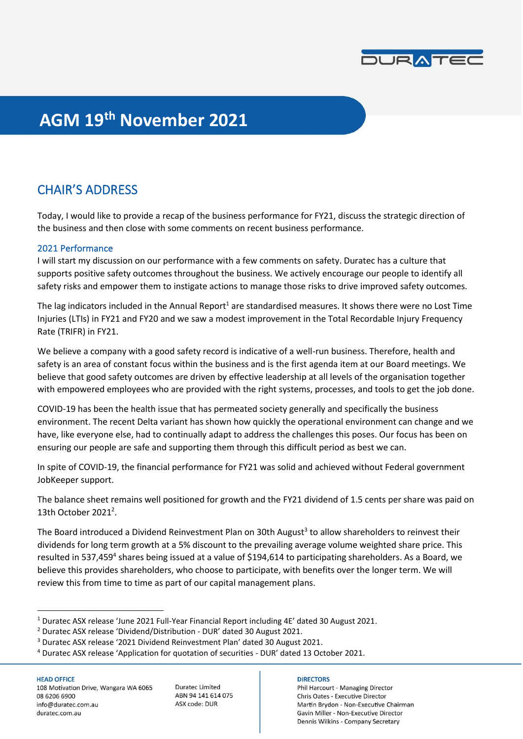

# **AGM 19th November 2021**

## CHAIR'S ADDRESS

Today, I would like to provide a recap of the business performance for FY21, discuss the strategic direction of the business and then close with some comments on recent business performance.

## 2021 Performance

I will start my discussion on our performance with a few comments on safety. Duratec has a culture that supports positive safety outcomes throughout the business. We actively encourage our people to identify all safety risks and empower them to instigate actions to manage those risks to drive improved safety outcomes.

The lag indicators included in the Annual Report<sup>1</sup> are standardised measures. It shows there were no Lost Time Injuries (LTIs) in FY21 and FY20 and we saw a modest improvement in the Total Recordable Injury Frequency Rate (TRIFR) in FY21.

We believe a company with a good safety record is indicative of a well-run business. Therefore, health and safety is an area of constant focus within the business and is the first agenda item at our Board meetings. We believe that good safety outcomes are driven by effective leadership at all levels of the organisation together with empowered employees who are provided with the right systems, processes, and tools to get the job done.

COVID-19 has been the health issue that has permeated society generally and specifically the business environment. The recent Delta variant has shown how quickly the operational environment can change and we have, like everyone else, had to continually adapt to address the challenges this poses. Our focus has been on ensuring our people are safe and supporting them through this difficult period as best we can.

In spite of COVID-19, the financial performance for FY21 was solid and achieved without Federal government JobKeeper support.

The balance sheet remains well positioned for growth and the FY21 dividend of 1.5 cents per share was paid on 13th October 2021<sup>2</sup>.

The Board introduced a Dividend Reinvestment Plan on 30th August<sup>3</sup> to allow shareholders to reinvest their dividends for long term growth at a 5% discount to the prevailing average volume weighted share price. This resulted in 537,459<sup>4</sup> shares being issued at a value of \$194,614 to participating shareholders. As a Board, we believe this provides shareholders, who choose to participate, with benefits over the longer term. We will review this from time to time as part of our capital management plans.

#### **HEAD OFFICE**

108 Motivation Drive, Wangara WA 6065 08 6206 6900 info@duratec.com.au duratec.com.au

**Duratec Limited** ABN 94 141 614 075 ASX code: DUR

#### **DIRECTORS**

Phil Harcourt - Managing Director Chris Oates - Executive Director Martin Brydon - Non-Executive Chairman Gavin Miller - Non-Executive Director Dennis Wilkins - Company Secretary

<sup>1</sup> Duratec ASX release 'June 2021 Full-Year Financial Report including 4E' dated 30 August 2021.

<sup>2</sup> Duratec ASX release 'Dividend/Distribution - DUR' dated 30 August 2021.

<sup>3</sup> Duratec ASX release '2021 Dividend Reinvestment Plan' dated 30 August 2021.

<sup>4</sup> Duratec ASX release 'Application for quotation of securities - DUR' dated 13 October 2021.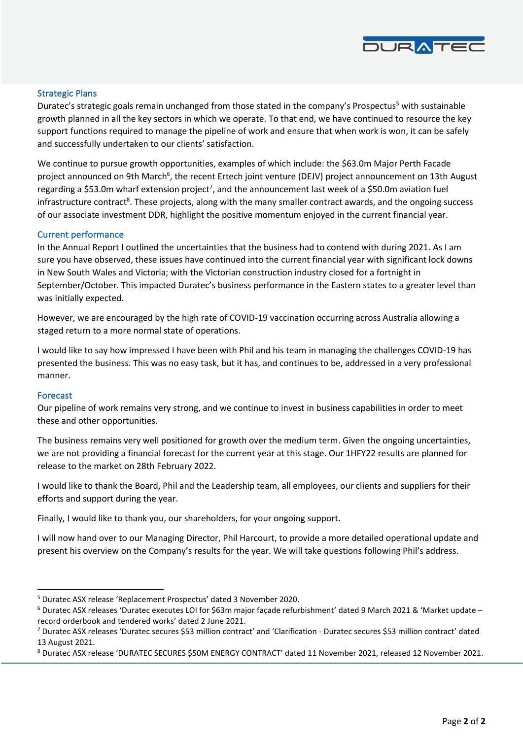

### Strategic Plans

Duratec's strategic goals remain unchanged from those stated in the company's Prospectus<sup>5</sup> with sustainable growth planned in all the key sectors in which we operate. To that end, we have continued to resource the key support functions required to manage the pipeline of work and ensure that when work is won, it can be safely and successfully undertaken to our clients' satisfaction.

We continue to pursue growth opportunities, examples of which include: the \$63.0m Major Perth Facade project announced on 9th March<sup>6</sup>, the recent Ertech joint venture (DEJV) project announcement on 13th August regarding a \$53.0m wharf extension project<sup>7</sup>, and the announcement last week of a \$50.0m aviation fuel infrastructure contract<sup>8</sup>. These projects, along with the many smaller contract awards, and the ongoing success of our associate investment DDR, highlight the positive momentum enjoyed in the current financial year.

#### Current performance

In the Annual Report I outlined the uncertainties that the business had to contend with during 2021. As I am sure you have observed, these issues have continued into the current financial year with significant lock downs in New South Wales and Victoria; with the Victorian construction industry closed for a fortnight in September/October. This impacted Duratec's business performance in the Eastern states to a greater level than was initially expected.

However, we are encouraged by the high rate of COVID-19 vaccination occurring across Australia allowing a staged return to a more normal state of operations.

I would like to say how impressed I have been with Phil and his team in managing the challenges COVID-19 has presented the business. This was no easy task, but it has, and continues to be, addressed in a very professional manner.

#### Forecast

Our pipeline of work remains very strong, and we continue to invest in business capabilities in order to meet these and other opportunities.

The business remains very well positioned for growth over the medium term. Given the ongoing uncertainties, we are not providing a financial forecast for the current year at this stage. Our 1HFY22 results are planned for release to the market on 28th February 2022.

I would like to thank the Board, Phil and the Leadership team, all employees, our clients and suppliers for their efforts and support during the year.

Finally, I would like to thank you, our shareholders, for your ongoing support.

I will now hand over to our Managing Director, Phil Harcourt, to provide a more detailed operational update and present his overview on the Company's results for the year. We will take questions following Phil's address.

<sup>5</sup> Duratec ASX release 'Replacement Prospectus' dated 3 November 2020.

<sup>6</sup> Duratec ASX releases 'Duratec executes LOI for \$63m major façade refurbishment' dated 9 March 2021 & 'Market update – record orderbook and tendered works' dated 2 June 2021.

<sup>7</sup> Duratec ASX releases 'Duratec secures \$53 million contract' and 'Clarification - Duratec secures \$53 million contract' dated 13 August 2021.

<sup>8</sup> Duratec ASX release 'DURATEC SECURES \$50M ENERGY CONTRACT' dated 11 November 2021, released 12 November 2021.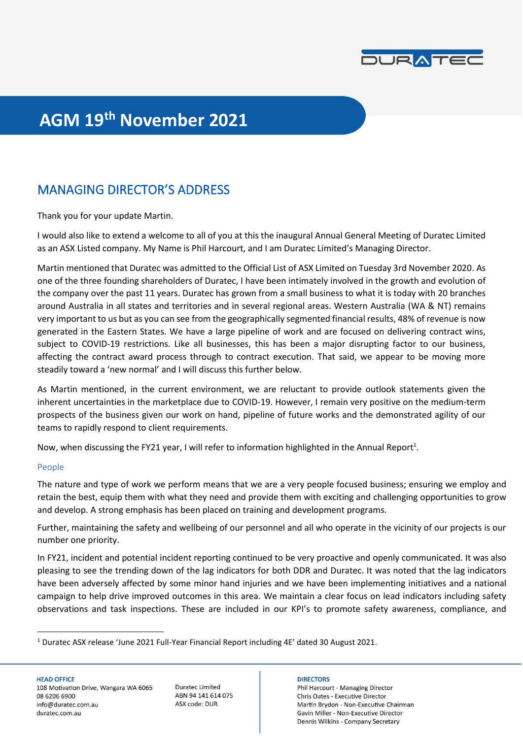

# **AGM 19th November 2021**

# MANAGING DIRECTOR'S ADDRESS

Thank you for your update Martin.

I would also like to extend a welcome to all of you at this the inaugural Annual General Meeting of Duratec Limited as an ASX Listed company. My Name is Phil Harcourt, and I am Duratec Limited's Managing Director.

Martin mentioned that Duratec was admitted to the Official List of ASX Limited on Tuesday 3rd November 2020. As one of the three founding shareholders of Duratec, I have been intimately involved in the growth and evolution of the company over the past 11 years. Duratec has grown from a small business to what it is today with 20 branches around Australia in all states and territories and in several regional areas. Western Australia (WA & NT) remains very important to us but as you can see from the geographically segmented financial results, 48% of revenue is now generated in the Eastern States. We have a large pipeline of work and are focused on delivering contract wins, subject to COVID-19 restrictions. Like all businesses, this has been a major disrupting factor to our business, affecting the contract award process through to contract execution. That said, we appear to be moving more steadily toward a 'new normal' and I will discuss this further below.

As Martin mentioned, in the current environment, we are reluctant to provide outlook statements given the inherent uncertainties in the marketplace due to COVID-19. However, I remain very positive on the medium-term prospects of the business given our work on hand, pipeline of future works and the demonstrated agility of our teams to rapidly respond to client requirements.

Now, when discussing the FY21 year, I will refer to information highlighted in the Annual Report<sup>1</sup>.

#### People

The nature and type of work we perform means that we are a very people focused business; ensuring we employ and retain the best, equip them with what they need and provide them with exciting and challenging opportunities to grow and develop. A strong emphasis has been placed on training and development programs.

Further, maintaining the safety and wellbeing of our personnel and all who operate in the vicinity of our projects is our number one priority.

In FY21, incident and potential incident reporting continued to be very proactive and openly communicated. It was also pleasing to see the trending down of the lag indicators for both DDR and Duratec. It was noted that the lag indicators have been adversely affected by some minor hand injuries and we have been implementing initiatives and a national campaign to help drive improved outcomes in this area. We maintain a clear focus on lead indicators including safety observations and task inspections. These are included in our KPI's to promote safety awareness, compliance, and

**HEAD OFFICE** 108 Motivation Drive, Wangara WA 6065 08 6206 6900 info@duratec.com.au duratec.com.au

**Duratec Limited** ABN 94 141 614 075 ASX code: DUR

### **DIRECTORS**

Phil Harcourt - Managing Director Chris Oates - Executive Director Martin Brydon - Non-Executive Chairman Gavin Miller - Non-Executive Director Dennis Wilkins - Company Secretary

<sup>1</sup> Duratec ASX release 'June 2021 Full-Year Financial Report including 4E' dated 30 August 2021.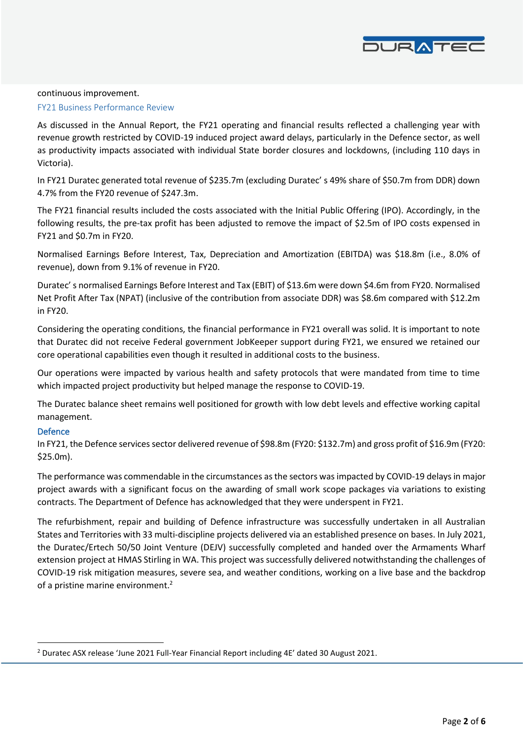

#### continuous improvement.

#### FY21 Business Performance Review

As discussed in the Annual Report, the FY21 operating and financial results reflected a challenging year with revenue growth restricted by COVID-19 induced project award delays, particularly in the Defence sector, as well as productivity impacts associated with individual State border closures and lockdowns, (including 110 days in Victoria).

In FY21 Duratec generated total revenue of \$235.7m (excluding Duratec' s 49% share of \$50.7m from DDR) down 4.7% from the FY20 revenue of \$247.3m.

The FY21 financial results included the costs associated with the Initial Public Offering (IPO). Accordingly, in the following results, the pre-tax profit has been adjusted to remove the impact of \$2.5m of IPO costs expensed in FY21 and \$0.7m in FY20.

Normalised Earnings Before Interest, Tax, Depreciation and Amortization (EBITDA) was \$18.8m (i.e., 8.0% of revenue), down from 9.1% of revenue in FY20.

Duratec' s normalised Earnings Before Interest and Tax (EBIT) of \$13.6m were down \$4.6m from FY20. Normalised Net Profit After Tax (NPAT) (inclusive of the contribution from associate DDR) was \$8.6m compared with \$12.2m in FY20.

Considering the operating conditions, the financial performance in FY21 overall was solid. It is important to note that Duratec did not receive Federal government JobKeeper support during FY21, we ensured we retained our core operational capabilities even though it resulted in additional costs to the business.

Our operations were impacted by various health and safety protocols that were mandated from time to time which impacted project productivity but helped manage the response to COVID-19.

The Duratec balance sheet remains well positioned for growth with low debt levels and effective working capital management.

### Defence

In FY21, the Defence services sector delivered revenue of \$98.8m (FY20: \$132.7m) and gross profit of \$16.9m (FY20: \$25.0m).

The performance was commendable in the circumstances as the sectors was impacted by COVID-19 delays in major project awards with a significant focus on the awarding of small work scope packages via variations to existing contracts. The Department of Defence has acknowledged that they were underspent in FY21.

The refurbishment, repair and building of Defence infrastructure was successfully undertaken in all Australian States and Territories with 33 multi-discipline projects delivered via an established presence on bases. In July 2021, the Duratec/Ertech 50/50 Joint Venture (DEJV) successfully completed and handed over the Armaments Wharf extension project at HMAS Stirling in WA. This project was successfully delivered notwithstanding the challenges of COVID-19 risk mitigation measures, severe sea, and weather conditions, working on a live base and the backdrop of a pristine marine environment.<sup>2</sup>

<sup>2</sup> Duratec ASX release 'June 2021 Full-Year Financial Report including 4E' dated 30 August 2021.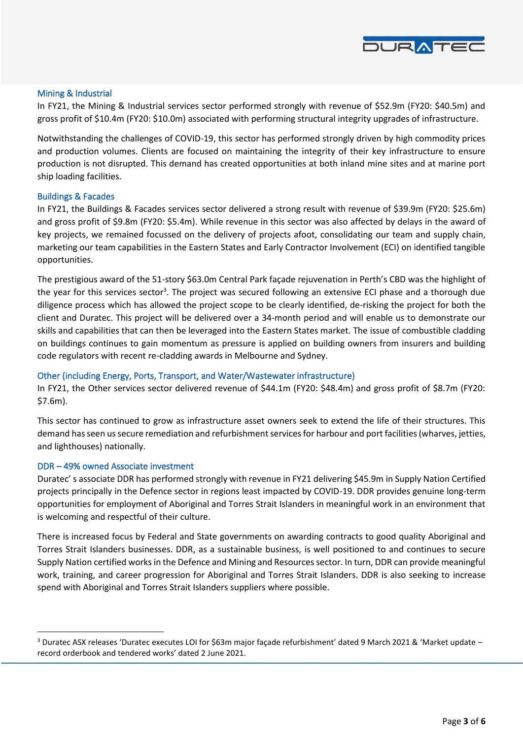

#### Mining & Industrial

In FY21, the Mining & Industrial services sector performed strongly with revenue of \$52.9m (FY20: \$40.5m) and gross profit of \$10.4m (FY20: \$10.0m) associated with performing structural integrity upgrades of infrastructure.

Notwithstanding the challenges of COVID-19, this sector has performed strongly driven by high commodity prices and production volumes. Clients are focused on maintaining the integrity of their key infrastructure to ensure production is not disrupted. This demand has created opportunities at both inland mine sites and at marine port ship loading facilities.

#### Buildings & Facades

In FY21, the Buildings & Facades services sector delivered a strong result with revenue of \$39.9m (FY20: \$25.6m) and gross profit of \$9.8m (FY20: \$5.4m). While revenue in this sector was also affected by delays in the award of key projects, we remained focussed on the delivery of projects afoot, consolidating our team and supply chain, marketing our team capabilities in the Eastern States and Early Contractor Involvement (ECI) on identified tangible opportunities.

The prestigious award of the 51-story \$63.0m Central Park façade rejuvenation in Perth's CBD was the highlight of the year for this services sector<sup>3</sup>. The project was secured following an extensive ECI phase and a thorough due diligence process which has allowed the project scope to be clearly identified, de-risking the project for both the client and Duratec. This project will be delivered over a 34-month period and will enable us to demonstrate our skills and capabilities that can then be leveraged into the Eastern States market. The issue of combustible cladding on buildings continues to gain momentum as pressure is applied on building owners from insurers and building code regulators with recent re-cladding awards in Melbourne and Sydney.

### Other (including Energy, Ports, Transport, and Water/Wastewater infrastructure)

In FY21, the Other services sector delivered revenue of \$44.1m (FY20: \$48.4m) and gross profit of \$8.7m (FY20: \$7.6m).

This sector has continued to grow as infrastructure asset owners seek to extend the life of their structures. This demand has seen us secure remediation and refurbishment services for harbour and port facilities (wharves, jetties, and lighthouses) nationally.

#### DDR – 49% owned Associate investment

Duratec' s associate DDR has performed strongly with revenue in FY21 delivering \$45.9m in Supply Nation Certified projects principally in the Defence sector in regions least impacted by COVID-19. DDR provides genuine long-term opportunities for employment of Aboriginal and Torres Strait Islanders in meaningful work in an environment that is welcoming and respectful of their culture.

There is increased focus by Federal and State governments on awarding contracts to good quality Aboriginal and Torres Strait Islanders businesses. DDR, as a sustainable business, is well positioned to and continues to secure Supply Nation certified works in the Defence and Mining and Resources sector. In turn, DDR can provide meaningful work, training, and career progression for Aboriginal and Torres Strait Islanders. DDR is also seeking to increase spend with Aboriginal and Torres Strait Islanders suppliers where possible.

<sup>&</sup>lt;sup>3</sup> Duratec ASX releases 'Duratec executes LOI for \$63m major façade refurbishment' dated 9 March 2021 & 'Market update – record orderbook and tendered works' dated 2 June 2021.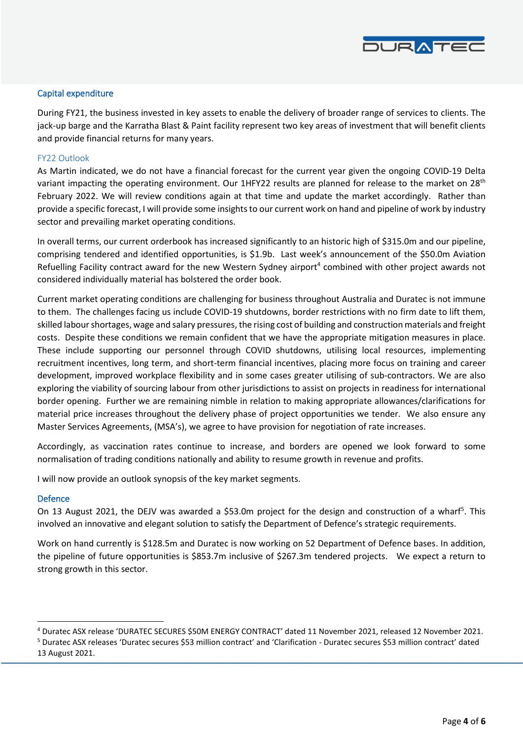

#### Capital expenditure

During FY21, the business invested in key assets to enable the delivery of broader range of services to clients. The jack-up barge and the Karratha Blast & Paint facility represent two key areas of investment that will benefit clients and provide financial returns for many years.

#### FY22 Outlook

As Martin indicated, we do not have a financial forecast for the current year given the ongoing COVID-19 Delta variant impacting the operating environment. Our 1HFY22 results are planned for release to the market on 28<sup>th</sup> February 2022. We will review conditions again at that time and update the market accordingly. Rather than provide a specific forecast, I will provide some insights to our current work on hand and pipeline of work by industry sector and prevailing market operating conditions.

In overall terms, our current orderbook has increased significantly to an historic high of \$315.0m and our pipeline, comprising tendered and identified opportunities, is \$1.9b. Last week's announcement of the \$50.0m Aviation Refuelling Facility contract award for the new Western Sydney airport<sup>4</sup> combined with other project awards not considered individually material has bolstered the order book.

Current market operating conditions are challenging for business throughout Australia and Duratec is not immune to them. The challenges facing us include COVID-19 shutdowns, border restrictions with no firm date to lift them, skilled labour shortages, wage and salary pressures, the rising cost of building and construction materials and freight costs. Despite these conditions we remain confident that we have the appropriate mitigation measures in place. These include supporting our personnel through COVID shutdowns, utilising local resources, implementing recruitment incentives, long term, and short-term financial incentives, placing more focus on training and career development, improved workplace flexibility and in some cases greater utilising of sub-contractors. We are also exploring the viability of sourcing labour from other jurisdictions to assist on projects in readiness for international border opening. Further we are remaining nimble in relation to making appropriate allowances/clarifications for material price increases throughout the delivery phase of project opportunities we tender. We also ensure any Master Services Agreements, (MSA's), we agree to have provision for negotiation of rate increases.

Accordingly, as vaccination rates continue to increase, and borders are opened we look forward to some normalisation of trading conditions nationally and ability to resume growth in revenue and profits.

I will now provide an outlook synopsis of the key market segments.

#### Defence

On 13 August 2021, the DEJV was awarded a \$53.0m project for the design and construction of a wharf<sup>5</sup>. This involved an innovative and elegant solution to satisfy the Department of Defence's strategic requirements.

Work on hand currently is \$128.5m and Duratec is now working on 52 Department of Defence bases. In addition, the pipeline of future opportunities is \$853.7m inclusive of \$267.3m tendered projects. We expect a return to strong growth in this sector.

<sup>4</sup> Duratec ASX release 'DURATEC SECURES \$50M ENERGY CONTRACT' dated 11 November 2021, released 12 November 2021.

<sup>5</sup> Duratec ASX releases 'Duratec secures \$53 million contract' and 'Clarification - Duratec secures \$53 million contract' dated 13 August 2021.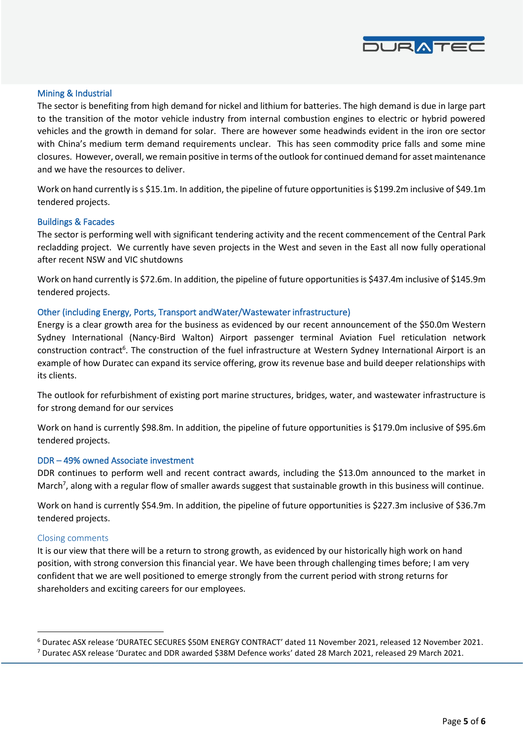

### Mining & Industrial

The sector is benefiting from high demand for nickel and lithium for batteries. The high demand is due in large part to the transition of the motor vehicle industry from internal combustion engines to electric or hybrid powered vehicles and the growth in demand for solar. There are however some headwinds evident in the iron ore sector with China's medium term demand requirements unclear. This has seen commodity price falls and some mine closures. However, overall, we remain positive in terms of the outlook for continued demand for asset maintenance and we have the resources to deliver.

Work on hand currently is s \$15.1m. In addition, the pipeline of future opportunities is \$199.2m inclusive of \$49.1m tendered projects.

#### Buildings & Facades

The sector is performing well with significant tendering activity and the recent commencement of the Central Park recladding project. We currently have seven projects in the West and seven in the East all now fully operational after recent NSW and VIC shutdowns

Work on hand currently is \$72.6m. In addition, the pipeline of future opportunities is \$437.4m inclusive of \$145.9m tendered projects.

#### Other (including Energy, Ports, Transport and Water/Wastewater infrastructure)

Energy is a clear growth area for the business as evidenced by our recent announcement of the \$50.0m Western Sydney International (Nancy-Bird Walton) Airport passenger terminal Aviation Fuel reticulation network construction contract<sup>6</sup>. The construction of the fuel infrastructure at Western Sydney International Airport is an example of how Duratec can expand its service offering, grow its revenue base and build deeper relationships with its clients.

The outlook for refurbishment of existing port marine structures, bridges, water, and wastewater infrastructure is for strong demand for our services

Work on hand is currently \$98.8m. In addition, the pipeline of future opportunities is \$179.0m inclusive of \$95.6m tendered projects.

#### DDR – 49% owned Associate investment

DDR continues to perform well and recent contract awards, including the \$13.0m announced to the market in March<sup>7</sup>, along with a regular flow of smaller awards suggest that sustainable growth in this business will continue.

Work on hand is currently \$54.9m. In addition, the pipeline of future opportunities is \$227.3m inclusive of \$36.7m tendered projects.

#### Closing comments

It is our view that there will be a return to strong growth, as evidenced by our historically high work on hand position, with strong conversion this financial year. We have been through challenging times before; I am very confident that we are well positioned to emerge strongly from the current period with strong returns for shareholders and exciting careers for our employees.

<sup>6</sup> Duratec ASX release 'DURATEC SECURES \$50M ENERGY CONTRACT' dated 11 November 2021, released 12 November 2021.

<sup>7</sup> Duratec ASX release 'Duratec and DDR awarded \$38M Defence works' dated 28 March 2021, released 29 March 2021.